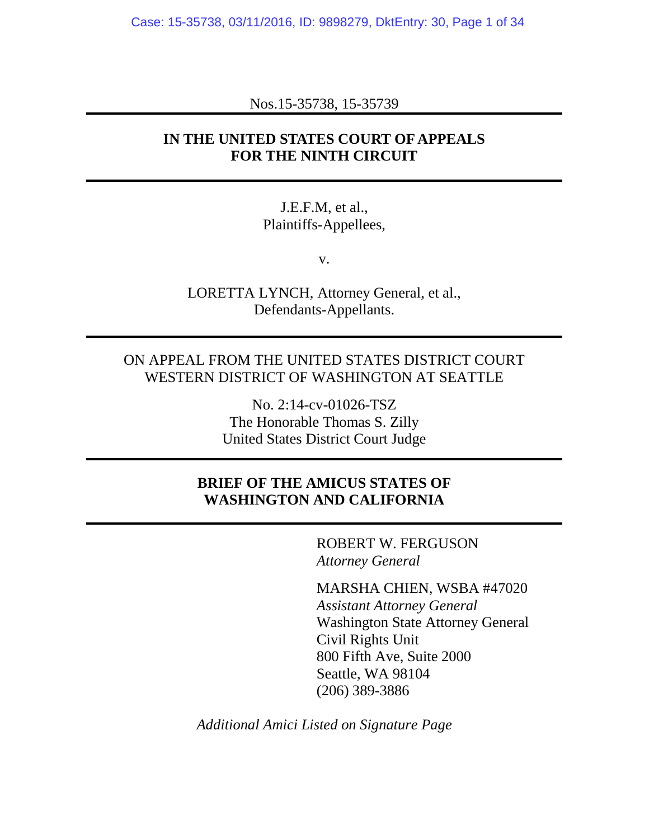Case: 15-35738, 03/11/2016, ID: 9898279, DktEntry: 30, Page 1 of 34

Nos.15-35738, 15-35739

## **IN THE UNITED STATES COURT OF APPEALS FOR THE NINTH CIRCUIT**

J.E.F.M, et al., Plaintiffs-Appellees,

v.

LORETTA LYNCH, Attorney General, et al., Defendants-Appellants.

### ON APPEAL FROM THE UNITED STATES DISTRICT COURT WESTERN DISTRICT OF WASHINGTON AT SEATTLE

No. 2:14-cv-01026-TSZ The Honorable Thomas S. Zilly United States District Court Judge

## **BRIEF OF THE AMICUS STATES OF WASHINGTON AND CALIFORNIA**

ROBERT W. FERGUSON *Attorney General*

MARSHA CHIEN, WSBA #47020 *Assistant Attorney General* Washington State Attorney General Civil Rights Unit 800 Fifth Ave, Suite 2000 Seattle, WA 98104 (206) 389-3886

*Additional Amici Listed on Signature Page*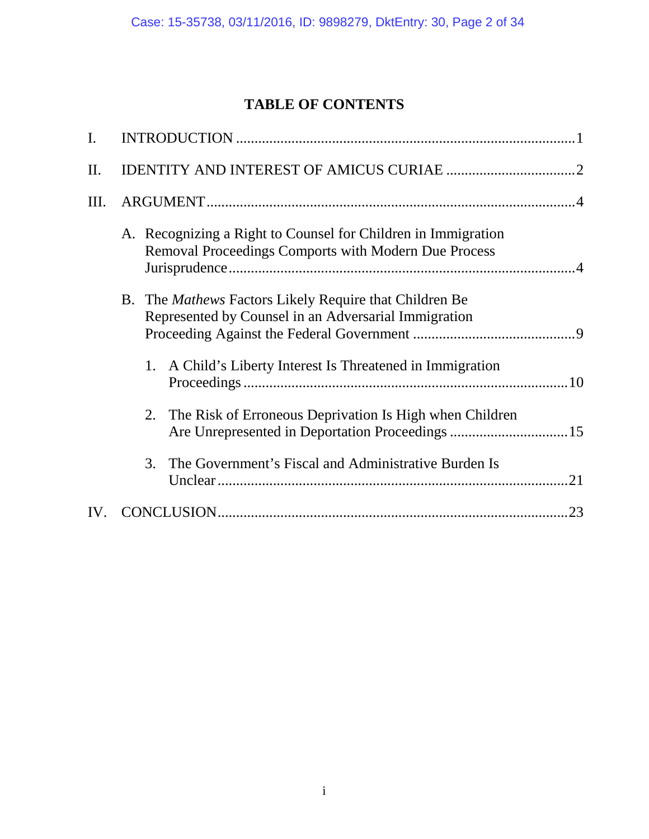# **TABLE OF CONTENTS**

| $\overline{I}$ . |                                                                                                                       |     |
|------------------|-----------------------------------------------------------------------------------------------------------------------|-----|
| II.              |                                                                                                                       |     |
| Ш.               |                                                                                                                       |     |
|                  | A. Recognizing a Right to Counsel for Children in Immigration<br>Removal Proceedings Comports with Modern Due Process |     |
|                  | B. The <i>Mathews</i> Factors Likely Require that Children Be<br>Represented by Counsel in an Adversarial Immigration |     |
|                  | A Child's Liberty Interest Is Threatened in Immigration<br>1.                                                         |     |
|                  | 2. The Risk of Erroneous Deprivation Is High when Children                                                            |     |
|                  | The Government's Fiscal and Administrative Burden Is<br>3.                                                            | .21 |
| IV.              |                                                                                                                       | .23 |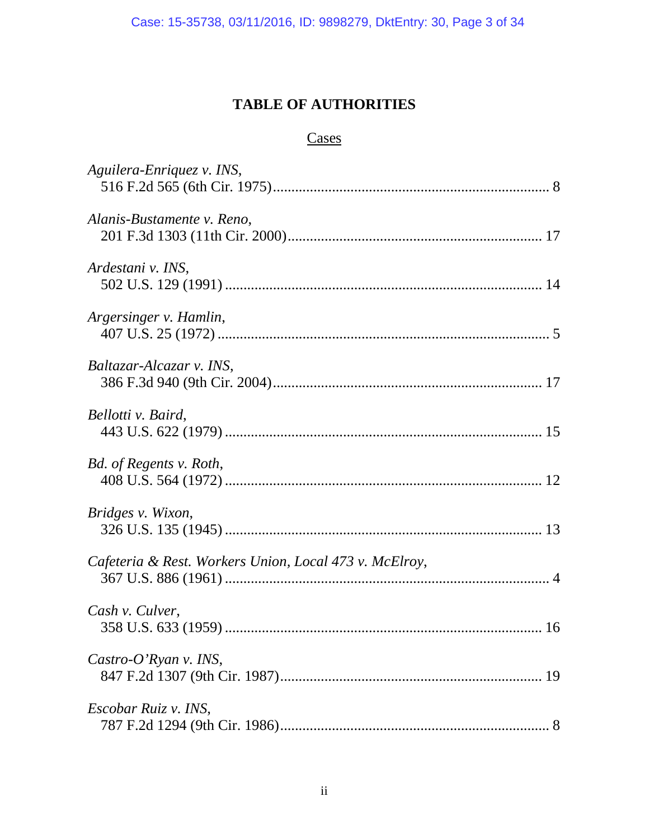# **TABLE OF AUTHORITIES**

## **Cases**

| Aguilera-Enriquez v. INS,                              |
|--------------------------------------------------------|
| Alanis-Bustamente v. Reno,                             |
| Ardestani v. INS,                                      |
| Argersinger v. Hamlin,                                 |
| Baltazar-Alcazar v. INS,                               |
| Bellotti v. Baird,                                     |
| Bd. of Regents v. Roth,                                |
| Bridges v. Wixon,                                      |
| Cafeteria & Rest. Workers Union, Local 473 v. McElroy, |
| Cash v. Culver,                                        |
| Castro-O'Ryan v. INS,                                  |
| Escobar Ruiz v. INS,                                   |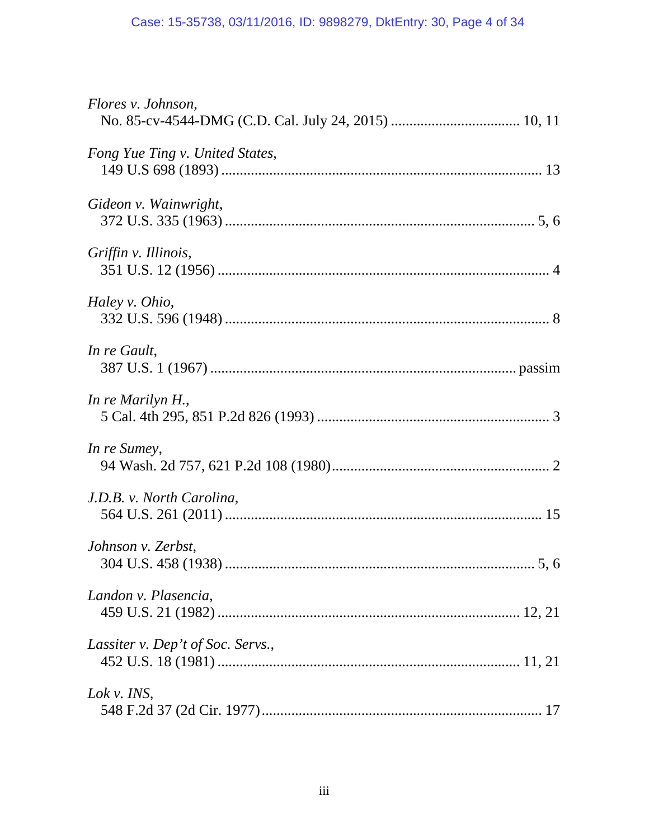| Flores v. Johnson,                |
|-----------------------------------|
| Fong Yue Ting v. United States,   |
| Gideon v. Wainwright,             |
| Griffin v. Illinois,              |
| Haley v. Ohio,                    |
| In re Gault,                      |
| In re Marilyn H.,                 |
| In re Sumey,                      |
| J.D.B. v. North Carolina,         |
| Johnson v. Zerbst,<br>5, 6        |
| Landon v. Plasencia,              |
| Lassiter v. Dep't of Soc. Servs., |
| Lok v. INS,                       |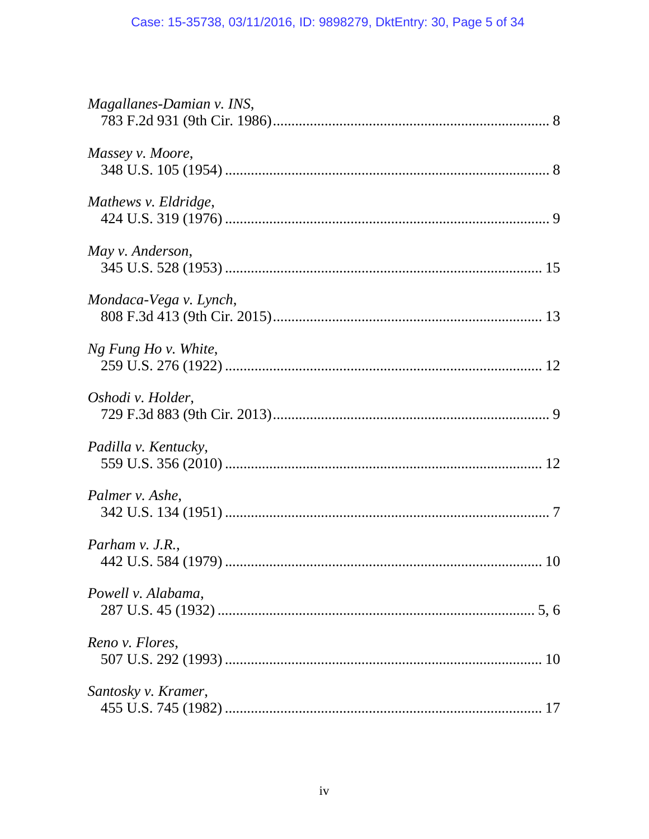| Magallanes-Damian v. INS, |
|---------------------------|
| Massey v. Moore,          |
| Mathews v. Eldridge,      |
| May v. Anderson,          |
| Mondaca-Vega v. Lynch,    |
| Ng Fung Ho v. White,      |
| Oshodi v. Holder,         |
| Padilla v. Kentucky,      |
| Palmer v. Ashe,           |
| Parham $v.$ J.R.,         |
| Powell v. Alabama,        |
| Reno v. Flores,           |
| Santosky v. Kramer,       |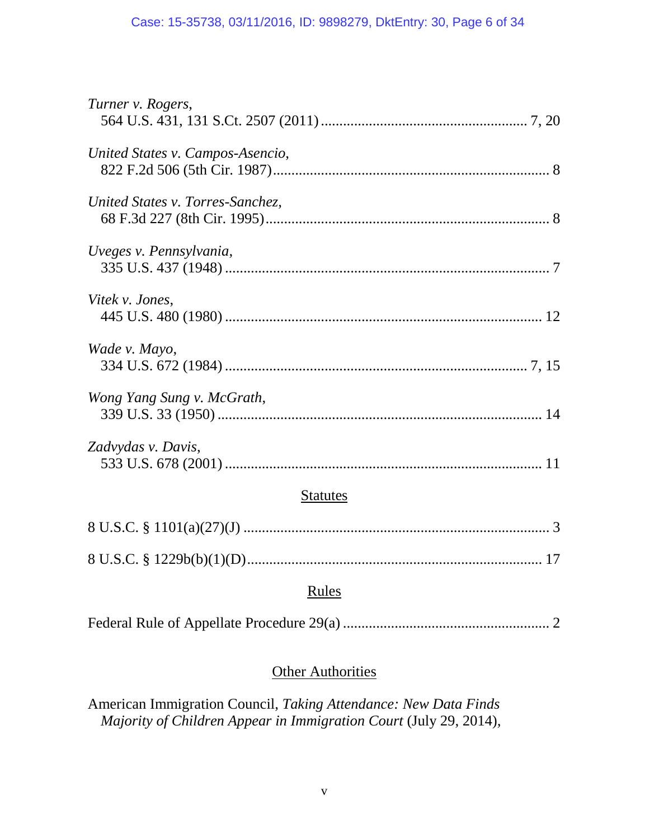| Turner v. Rogers,                |
|----------------------------------|
| United States v. Campos-Asencio, |
| United States v. Torres-Sanchez, |
| Uveges v. Pennsylvania,          |
| Vitek v. Jones,                  |
| Wade v. Mayo,                    |
| Wong Yang Sung v. McGrath,       |
| Zadvydas v. Davis,               |
| <b>Statutes</b>                  |
|                                  |
|                                  |
| Rules                            |
|                                  |

## **Other Authorities**

American Immigration Council, *Taking Attendance: New Data Finds Majority of Children Appear in Immigration Court* (July 29, 2014),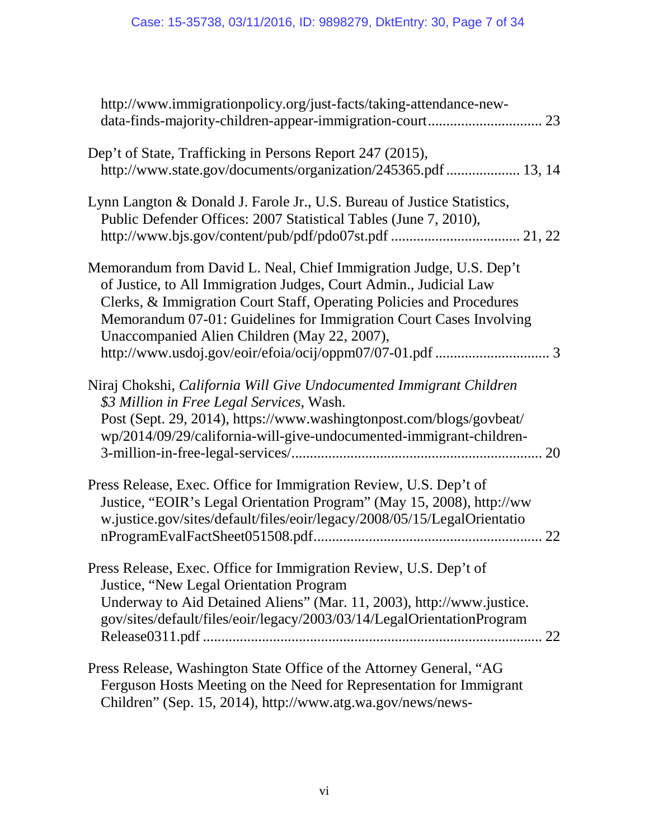| http://www.immigrationpolicy.org/just-facts/taking-attendance-new-                                                                                                                                                                                                                                                                    |
|---------------------------------------------------------------------------------------------------------------------------------------------------------------------------------------------------------------------------------------------------------------------------------------------------------------------------------------|
| Dep't of State, Trafficking in Persons Report 247 (2015),<br>http://www.state.gov/documents/organization/245365.pdf  13, 14                                                                                                                                                                                                           |
| Lynn Langton & Donald J. Farole Jr., U.S. Bureau of Justice Statistics,<br>Public Defender Offices: 2007 Statistical Tables (June 7, 2010),                                                                                                                                                                                           |
| Memorandum from David L. Neal, Chief Immigration Judge, U.S. Dep't<br>of Justice, to All Immigration Judges, Court Admin., Judicial Law<br>Clerks, & Immigration Court Staff, Operating Policies and Procedures<br>Memorandum 07-01: Guidelines for Immigration Court Cases Involving<br>Unaccompanied Alien Children (May 22, 2007), |
| Niraj Chokshi, California Will Give Undocumented Immigrant Children<br>\$3 Million in Free Legal Services, Wash.<br>Post (Sept. 29, 2014), https://www.washingtonpost.com/blogs/govbeat/<br>wp/2014/09/29/california-will-give-undocumented-immigrant-children-                                                                       |
| Press Release, Exec. Office for Immigration Review, U.S. Dep't of<br>Justice, "EOIR's Legal Orientation Program" (May 15, 2008), http://ww<br>w.justice.gov/sites/default/files/eoir/legacy/2008/05/15/LegalOrientatio<br>22                                                                                                          |
| Press Release, Exec. Office for Immigration Review, U.S. Dep't of<br>Justice, "New Legal Orientation Program<br>Underway to Aid Detained Aliens" (Mar. 11, 2003), http://www.justice.<br>gov/sites/default/files/eoir/legacy/2003/03/14/LegalOrientationProgram                                                                       |
| Press Release, Washington State Office of the Attorney General, "AG<br>Ferguson Hosts Meeting on the Need for Representation for Immigrant<br>Children" (Sep. 15, 2014), http://www.atg.wa.gov/news/news-                                                                                                                             |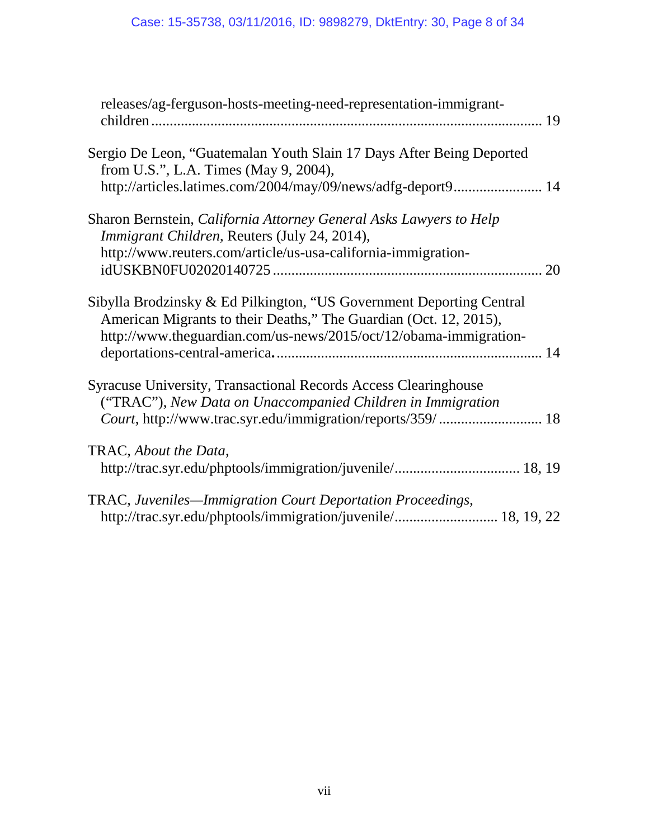| releases/ag-ferguson-hosts-meeting-need-representation-immigrant-                                                                                                                                              |
|----------------------------------------------------------------------------------------------------------------------------------------------------------------------------------------------------------------|
| Sergio De Leon, "Guatemalan Youth Slain 17 Days After Being Deported<br>from U.S.", L.A. Times (May 9, 2004),<br>http://articles.latimes.com/2004/may/09/news/adfg-deport9 14                                  |
| Sharon Bernstein, California Attorney General Asks Lawyers to Help<br><i>Immigrant Children, Reuters (July 24, 2014),</i>                                                                                      |
| http://www.reuters.com/article/us-usa-california-immigration-                                                                                                                                                  |
| Sibylla Brodzinsky & Ed Pilkington, "US Government Deporting Central<br>American Migrants to their Deaths," The Guardian (Oct. 12, 2015),<br>http://www.theguardian.com/us-news/2015/oct/12/obama-immigration- |
| Syracuse University, Transactional Records Access Clearinghouse<br>("TRAC"), New Data on Unaccompanied Children in Immigration                                                                                 |
| TRAC, About the Data,                                                                                                                                                                                          |
| TRAC, Juveniles—Immigration Court Deportation Proceedings,<br>http://trac.syr.edu/phptools/immigration/juvenile/ 18, 19, 22                                                                                    |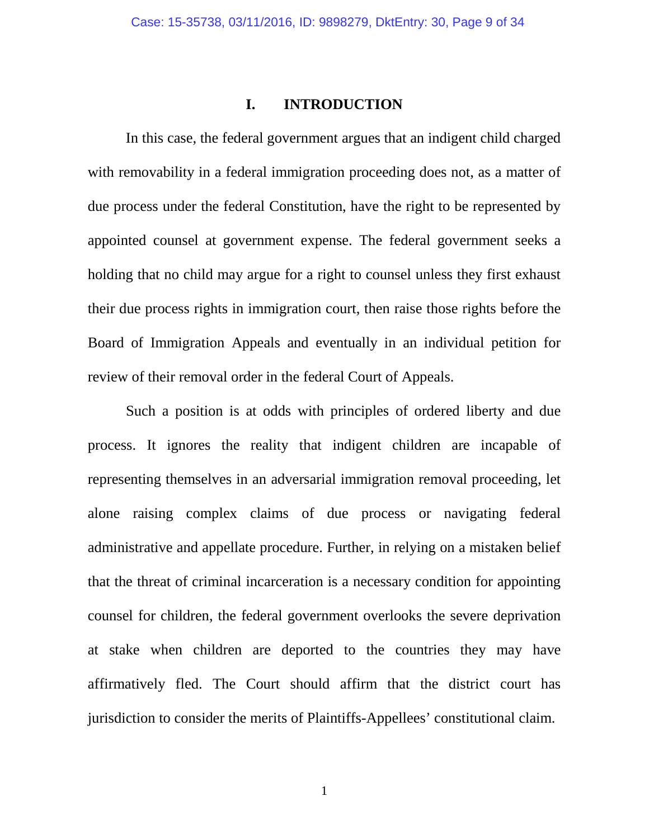### **I. INTRODUCTION**

In this case, the federal government argues that an indigent child charged with removability in a federal immigration proceeding does not, as a matter of due process under the federal Constitution, have the right to be represented by appointed counsel at government expense. The federal government seeks a holding that no child may argue for a right to counsel unless they first exhaust their due process rights in immigration court, then raise those rights before the Board of Immigration Appeals and eventually in an individual petition for review of their removal order in the federal Court of Appeals.

Such a position is at odds with principles of ordered liberty and due process. It ignores the reality that indigent children are incapable of representing themselves in an adversarial immigration removal proceeding, let alone raising complex claims of due process or navigating federal administrative and appellate procedure. Further, in relying on a mistaken belief that the threat of criminal incarceration is a necessary condition for appointing counsel for children, the federal government overlooks the severe deprivation at stake when children are deported to the countries they may have affirmatively fled. The Court should affirm that the district court has jurisdiction to consider the merits of Plaintiffs-Appellees' constitutional claim.

1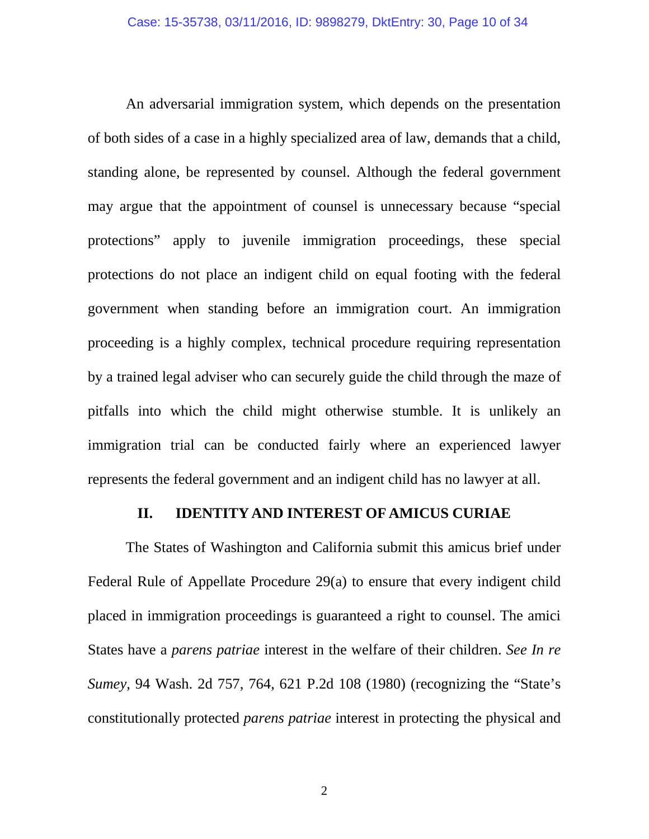An adversarial immigration system, which depends on the presentation of both sides of a case in a highly specialized area of law, demands that a child, standing alone, be represented by counsel. Although the federal government may argue that the appointment of counsel is unnecessary because "special protections" apply to juvenile immigration proceedings, these special protections do not place an indigent child on equal footing with the federal government when standing before an immigration court. An immigration proceeding is a highly complex, technical procedure requiring representation by a trained legal adviser who can securely guide the child through the maze of pitfalls into which the child might otherwise stumble. It is unlikely an immigration trial can be conducted fairly where an experienced lawyer represents the federal government and an indigent child has no lawyer at all.

### **II. IDENTITY AND INTEREST OF AMICUS CURIAE**

The States of Washington and California submit this amicus brief under Federal Rule of Appellate Procedure 29(a) to ensure that every indigent child placed in immigration proceedings is guaranteed a right to counsel. The amici States have a *parens patriae* interest in the welfare of their children. *See In re Sumey*, 94 Wash. 2d 757, 764, 621 P.2d 108 (1980) (recognizing the "State's constitutionally protected *parens patriae* interest in protecting the physical and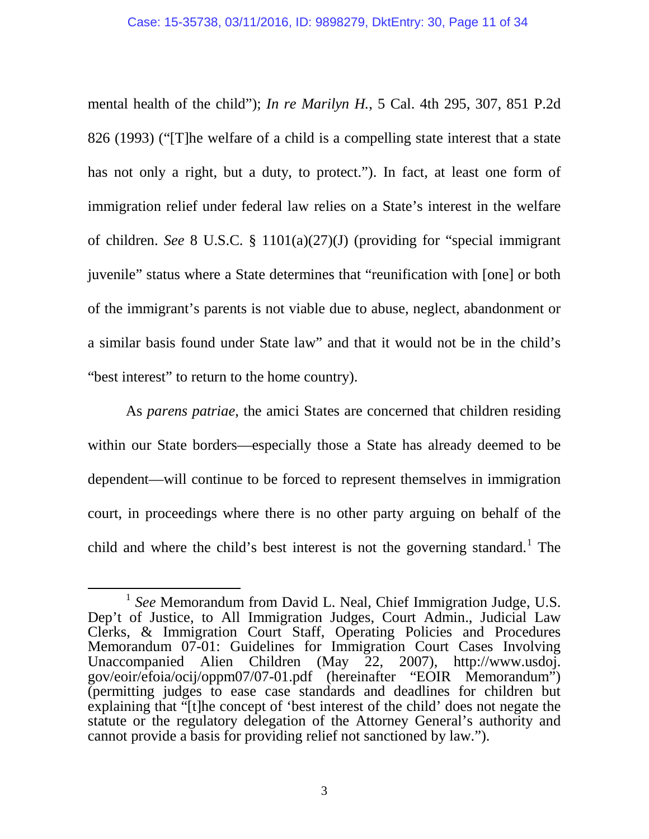mental health of the child"); *In re Marilyn H.*, 5 Cal. 4th 295, 307, 851 P.2d 826 (1993) ("[T]he welfare of a child is a compelling state interest that a state has not only a right, but a duty, to protect."). In fact, at least one form of immigration relief under federal law relies on a State's interest in the welfare of children. *See* 8 U.S.C. § 1101(a)(27)(J) (providing for "special immigrant juvenile" status where a State determines that "reunification with [one] or both of the immigrant's parents is not viable due to abuse, neglect, abandonment or a similar basis found under State law" and that it would not be in the child's "best interest" to return to the home country).

As *parens patriae*, the amici States are concerned that children residing within our State borders—especially those a State has already deemed to be dependent—will continue to be forced to represent themselves in immigration court, in proceedings where there is no other party arguing on behalf of the child and where the child's best interest is not the governing standard.<sup>[1](#page-10-0)</sup> The

 $\ddot{\phantom{a}}$ 

<span id="page-10-0"></span><sup>1</sup> *See* Memorandum from David L. Neal, Chief Immigration Judge, U.S. Dep't of Justice, to All Immigration Judges, Court Admin., Judicial Law Clerks, & Immigration Court Staff, Operating Policies and Procedures Memorandum 07-01: Guidelines for Immigration Court Cases Involving Unaccompanied Alien Children (May 22, 2007), http://www.usdoj. gov/eoir/efoia/ocij/oppm07/07-01.pdf (hereinafter "EOIR Memorandum") (permitting judges to ease case standards and deadlines for children but explaining that "[t]he concept of 'best interest of the child' does not negate the statute or the regulatory delegation of the Attorney General's authority and cannot provide a basis for providing relief not sanctioned by law.").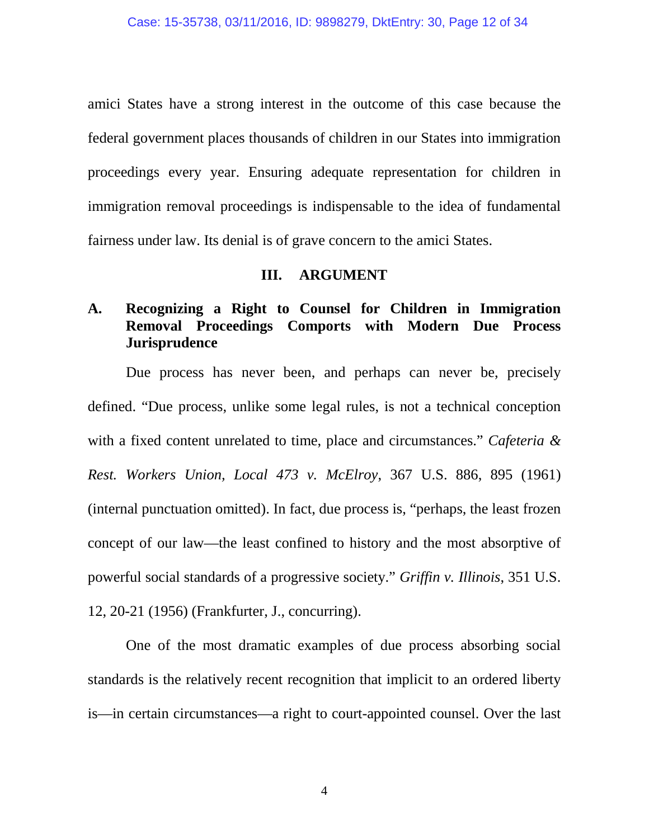amici States have a strong interest in the outcome of this case because the federal government places thousands of children in our States into immigration proceedings every year. Ensuring adequate representation for children in immigration removal proceedings is indispensable to the idea of fundamental fairness under law. Its denial is of grave concern to the amici States.

### **III. ARGUMENT**

## **A. Recognizing a Right to Counsel for Children in Immigration Removal Proceedings Comports with Modern Due Process Jurisprudence**

Due process has never been, and perhaps can never be, precisely defined. "Due process, unlike some legal rules, is not a technical conception with a fixed content unrelated to time, place and circumstances." *Cafeteria & Rest. Workers Union, Local 473 v. McElroy*, 367 U.S. 886, 895 (1961) (internal punctuation omitted). In fact, due process is, "perhaps, the least frozen concept of our law—the least confined to history and the most absorptive of powerful social standards of a progressive society." *Griffin v. Illinois*, 351 U.S. 12, 20-21 (1956) (Frankfurter, J., concurring).

One of the most dramatic examples of due process absorbing social standards is the relatively recent recognition that implicit to an ordered liberty is—in certain circumstances—a right to court-appointed counsel. Over the last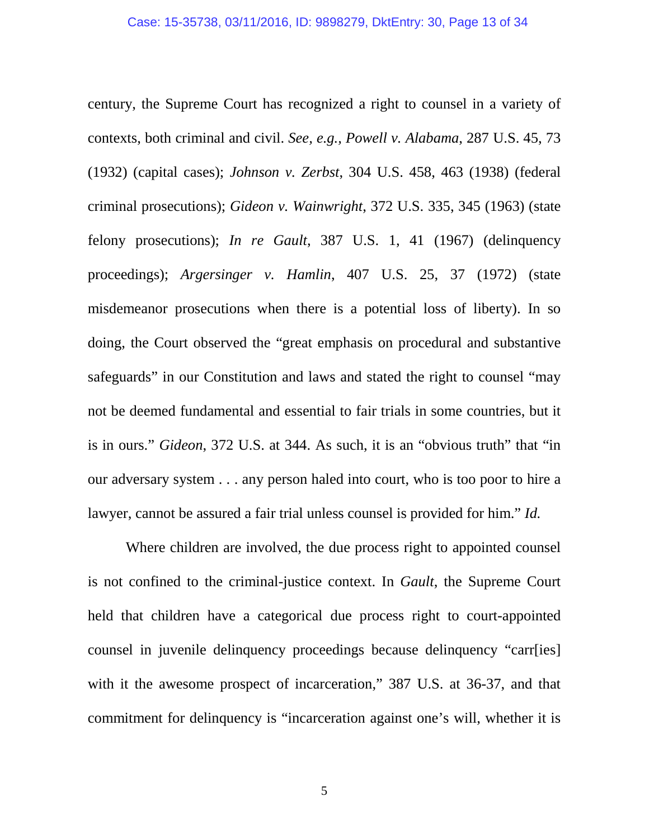century, the Supreme Court has recognized a right to counsel in a variety of contexts, both criminal and civil. *See, e.g., Powell v. Alabama*, 287 U.S. 45, 73 (1932) (capital cases); *Johnson v. Zerbst*, 304 U.S. 458, 463 (1938) (federal criminal prosecutions); *Gideon v. Wainwright*, 372 U.S. 335, 345 (1963) (state felony prosecutions); *In re Gault*, 387 U.S. 1, 41 (1967) (delinquency proceedings); *Argersinger v. Hamlin*, 407 U.S. 25, 37 (1972) (state misdemeanor prosecutions when there is a potential loss of liberty). In so doing, the Court observed the "great emphasis on procedural and substantive safeguards" in our Constitution and laws and stated the right to counsel "may not be deemed fundamental and essential to fair trials in some countries, but it is in ours." *Gideon*, 372 U.S. at 344. As such, it is an "obvious truth" that "in our adversary system . . . any person haled into court, who is too poor to hire a lawyer, cannot be assured a fair trial unless counsel is provided for him." *Id.* 

Where children are involved, the due process right to appointed counsel is not confined to the criminal-justice context. In *Gault*, the Supreme Court held that children have a categorical due process right to court-appointed counsel in juvenile delinquency proceedings because delinquency "carr[ies] with it the awesome prospect of incarceration," 387 U.S. at 36-37, and that commitment for delinquency is "incarceration against one's will, whether it is

5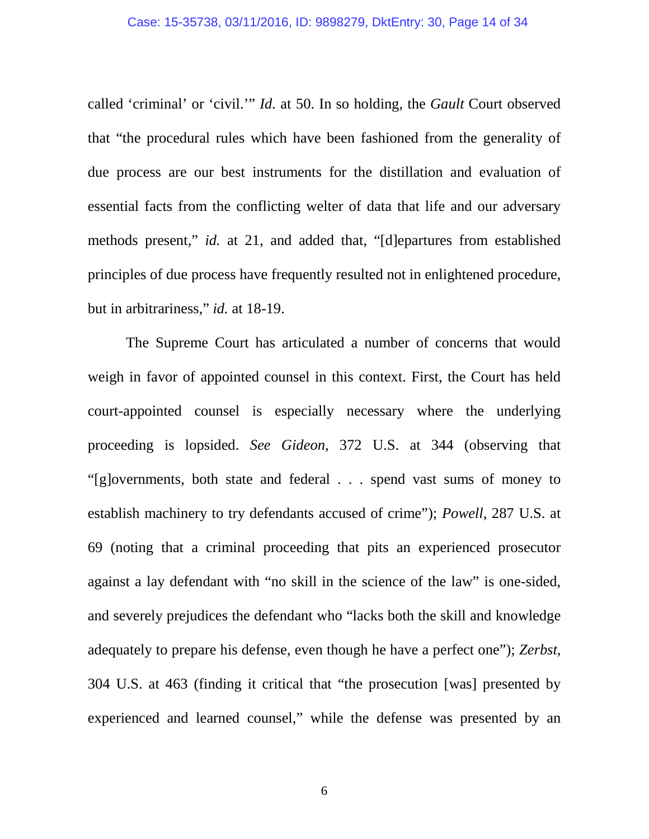called 'criminal' or 'civil.'" *Id.* at 50. In so holding, the *Gault* Court observed that "the procedural rules which have been fashioned from the generality of due process are our best instruments for the distillation and evaluation of essential facts from the conflicting welter of data that life and our adversary methods present," *id.* at 21, and added that, "[d]epartures from established principles of due process have frequently resulted not in enlightened procedure, but in arbitrariness," *id.* at 18-19.

The Supreme Court has articulated a number of concerns that would weigh in favor of appointed counsel in this context. First, the Court has held court-appointed counsel is especially necessary where the underlying proceeding is lopsided. *See Gideon*, 372 U.S. at 344 (observing that "[g]overnments, both state and federal . . . spend vast sums of money to establish machinery to try defendants accused of crime"); *Powell*, 287 U.S. at 69 (noting that a criminal proceeding that pits an experienced prosecutor against a lay defendant with "no skill in the science of the law" is one-sided, and severely prejudices the defendant who "lacks both the skill and knowledge adequately to prepare his defense, even though he have a perfect one"); *Zerbst*, 304 U.S. at 463 (finding it critical that "the prosecution [was] presented by experienced and learned counsel," while the defense was presented by an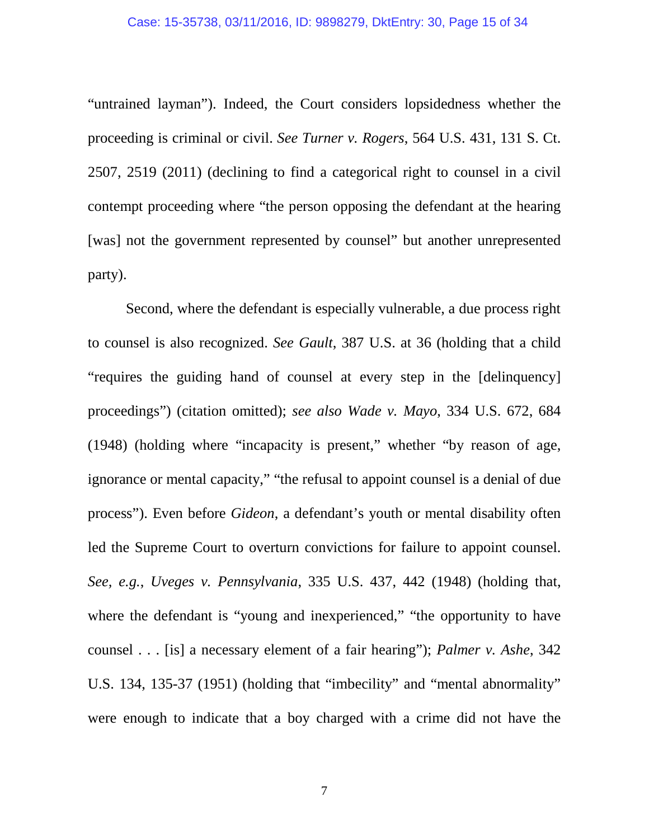#### Case: 15-35738, 03/11/2016, ID: 9898279, DktEntry: 30, Page 15 of 34

"untrained layman"). Indeed, the Court considers lopsidedness whether the proceeding is criminal or civil. *See Turner v. Rogers*, 564 U.S. 431, 131 S. Ct. 2507, 2519 (2011) (declining to find a categorical right to counsel in a civil contempt proceeding where "the person opposing the defendant at the hearing [was] not the government represented by counsel" but another unrepresented party).

Second, where the defendant is especially vulnerable, a due process right to counsel is also recognized. *See Gault*, 387 U.S. at 36 (holding that a child "requires the guiding hand of counsel at every step in the [delinquency] proceedings") (citation omitted); *see also Wade v. Mayo*, 334 U.S. 672, 684 (1948) (holding where "incapacity is present," whether "by reason of age, ignorance or mental capacity," "the refusal to appoint counsel is a denial of due process"). Even before *Gideon*, a defendant's youth or mental disability often led the Supreme Court to overturn convictions for failure to appoint counsel. *See, e.g.*, *Uveges v. Pennsylvania*, 335 U.S. 437, 442 (1948) (holding that, where the defendant is "young and inexperienced," "the opportunity to have counsel . . . [is] a necessary element of a fair hearing"); *Palmer v. Ashe*, 342 U.S. 134, 135-37 (1951) (holding that "imbecility" and "mental abnormality" were enough to indicate that a boy charged with a crime did not have the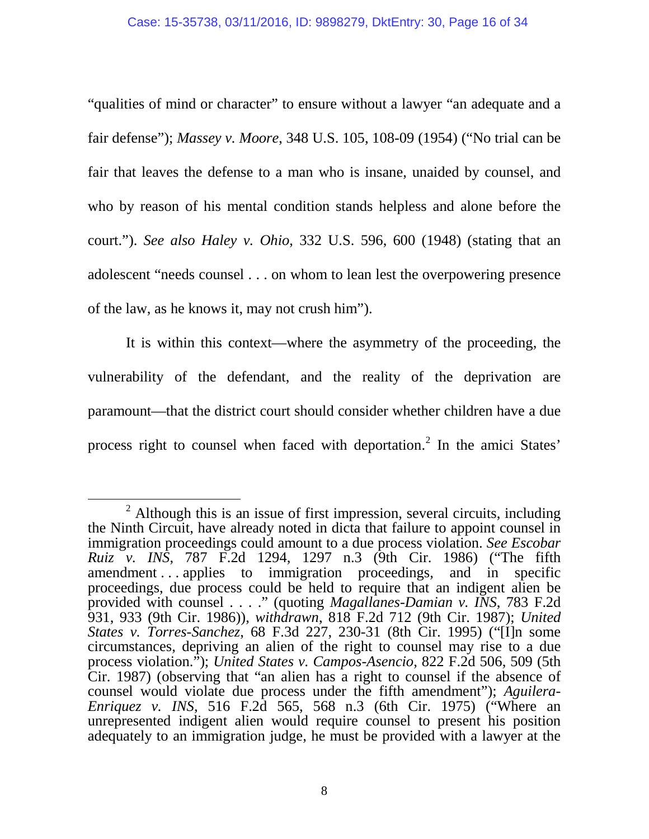"qualities of mind or character" to ensure without a lawyer "an adequate and a fair defense"); *Massey v. Moore*, 348 U.S. 105, 108-09 (1954) ("No trial can be fair that leaves the defense to a man who is insane, unaided by counsel, and who by reason of his mental condition stands helpless and alone before the court."). *See also Haley v. Ohio*, 332 U.S. 596, 600 (1948) (stating that an adolescent "needs counsel . . . on whom to lean lest the overpowering presence of the law, as he knows it, may not crush him").

It is within this context—where the asymmetry of the proceeding, the vulnerability of the defendant, and the reality of the deprivation are paramount—that the district court should consider whether children have a due process right to counsel when faced with deportation.<sup>[2](#page-15-0)</sup> In the amici States'

<span id="page-15-0"></span> $2$  Although this is an issue of first impression, several circuits, including the Ninth Circuit, have already noted in dicta that failure to appoint counsel in immigration proceedings could amount to a due process violation. *See Escobar Ruiz v. INS*, 787 F.2d 1294, 1297 n.3 (9th Cir. 1986) ("The fifth amendment . . . applies to immigration proceedings, and in specific proceedings, due process could be held to require that an indigent alien be provided with counsel . . . ." (quoting *Magallanes-Damian v. INS*, 783 F.2d 931, 933 (9th Cir. 1986)), *withdrawn*, 818 F.2d 712 (9th Cir. 1987); *United States v. Torres-Sanchez*, 68 F.3d 227, 230-31 (8th Cir. 1995) ("[I]n some circumstances, depriving an alien of the right to counsel may rise to a due process violation."); *United States v. Campos-Asencio*, 822 F.2d 506, 509 (5th Cir. 1987) (observing that "an alien has a right to counsel if the absence of counsel would violate due process under the fifth amendment"); *Aguilera-Enriquez v. INS*, 516 F.2d 565, 568 n.3 (6th Cir. 1975) ("Where an unrepresented indigent alien would require counsel to present his position adequately to an immigration judge, he must be provided with a lawyer at the  $\ddot{\phantom{a}}$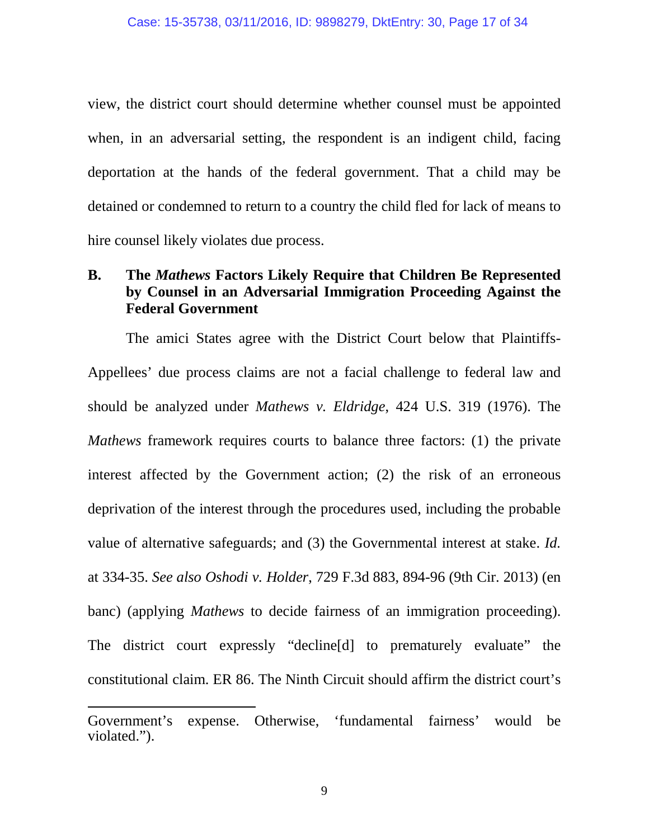view, the district court should determine whether counsel must be appointed when, in an adversarial setting, the respondent is an indigent child, facing deportation at the hands of the federal government. That a child may be detained or condemned to return to a country the child fled for lack of means to hire counsel likely violates due process.

## **B. The** *Mathews* **Factors Likely Require that Children Be Represented by Counsel in an Adversarial Immigration Proceeding Against the Federal Government**

The amici States agree with the District Court below that Plaintiffs-Appellees' due process claims are not a facial challenge to federal law and should be analyzed under *Mathews v. Eldridge*, 424 U.S. 319 (1976). The *Mathews* framework requires courts to balance three factors: (1) the private interest affected by the Government action; (2) the risk of an erroneous deprivation of the interest through the procedures used, including the probable value of alternative safeguards; and (3) the Governmental interest at stake. *Id.* at 334-35. *See also Oshodi v. Holder*, 729 F.3d 883, 894-96 (9th Cir. 2013) (en banc) (applying *Mathews* to decide fairness of an immigration proceeding). The district court expressly "decline[d] to prematurely evaluate" the constitutional claim. ER 86. The Ninth Circuit should affirm the district court's

-

Government's expense. Otherwise, 'fundamental fairness' would be violated.").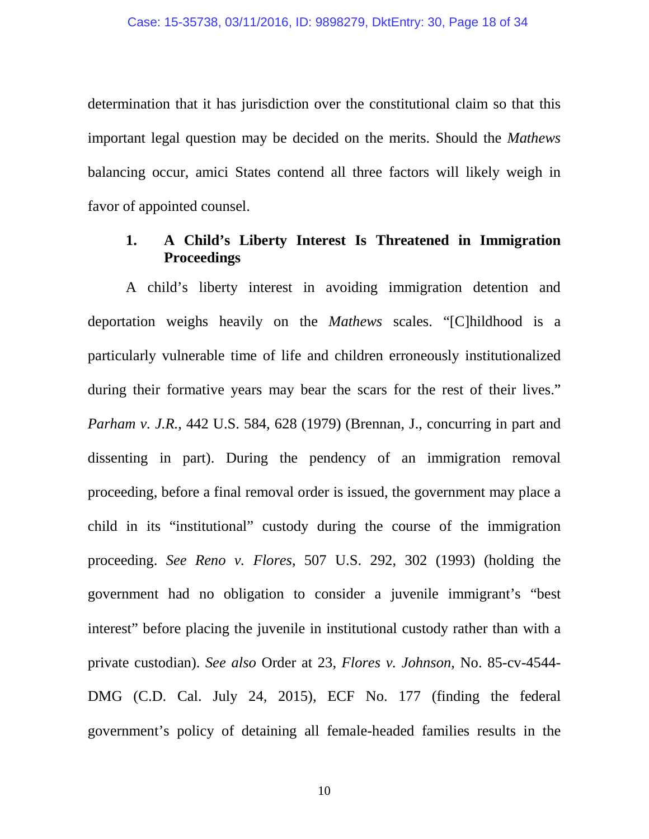determination that it has jurisdiction over the constitutional claim so that this important legal question may be decided on the merits. Should the *Mathews* balancing occur, amici States contend all three factors will likely weigh in favor of appointed counsel.

## **1. A Child's Liberty Interest Is Threatened in Immigration Proceedings**

A child's liberty interest in avoiding immigration detention and deportation weighs heavily on the *Mathews* scales. "[C]hildhood is a particularly vulnerable time of life and children erroneously institutionalized during their formative years may bear the scars for the rest of their lives." *Parham v. J.R.*, 442 U.S. 584, 628 (1979) (Brennan, J., concurring in part and dissenting in part). During the pendency of an immigration removal proceeding, before a final removal order is issued, the government may place a child in its "institutional" custody during the course of the immigration proceeding. *See Reno v. Flores*, 507 U.S. 292, 302 (1993) (holding the government had no obligation to consider a juvenile immigrant's "best interest" before placing the juvenile in institutional custody rather than with a private custodian). *See also* Order at 23, *Flores v. Johnson*, No. 85-cv-4544- DMG (C.D. Cal. July 24, 2015), ECF No. 177 (finding the federal government's policy of detaining all female-headed families results in the

10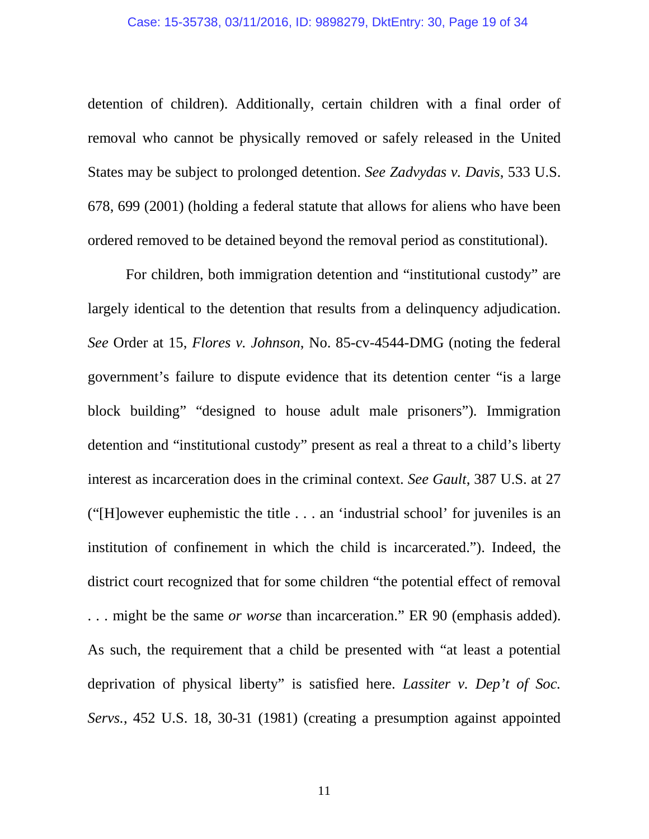detention of children). Additionally, certain children with a final order of removal who cannot be physically removed or safely released in the United States may be subject to prolonged detention. *See Zadvydas v. Davis*, 533 U.S. 678, 699 (2001) (holding a federal statute that allows for aliens who have been ordered removed to be detained beyond the removal period as constitutional).

For children, both immigration detention and "institutional custody" are largely identical to the detention that results from a delinquency adjudication. *See* Order at 15, *Flores v. Johnson*, No. 85-cv-4544-DMG (noting the federal government's failure to dispute evidence that its detention center "is a large block building" "designed to house adult male prisoners"). Immigration detention and "institutional custody" present as real a threat to a child's liberty interest as incarceration does in the criminal context. *See Gault*, 387 U.S. at 27 ("[H]owever euphemistic the title . . . an 'industrial school' for juveniles is an institution of confinement in which the child is incarcerated."). Indeed, the district court recognized that for some children "the potential effect of removal . . . might be the same *or worse* than incarceration." ER 90 (emphasis added). As such, the requirement that a child be presented with "at least a potential deprivation of physical liberty" is satisfied here. *Lassiter v. Dep't of Soc. Servs.*, 452 U.S. 18, 30-31 (1981) (creating a presumption against appointed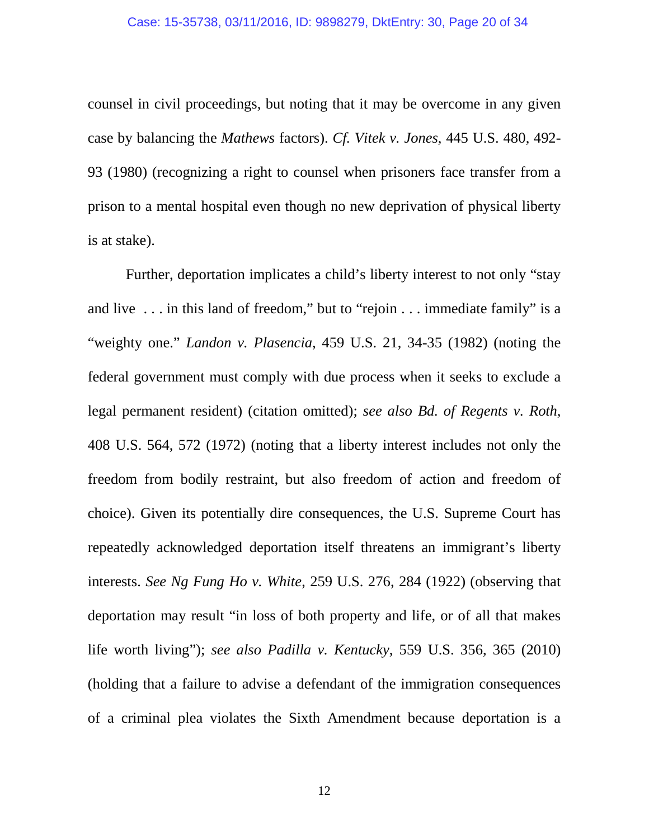counsel in civil proceedings, but noting that it may be overcome in any given case by balancing the *Mathews* factors). *Cf. Vitek v. Jones*, 445 U.S. 480, 492- 93 (1980) (recognizing a right to counsel when prisoners face transfer from a prison to a mental hospital even though no new deprivation of physical liberty is at stake).

Further, deportation implicates a child's liberty interest to not only "stay and live . . . in this land of freedom," but to "rejoin . . . immediate family" is a "weighty one." *Landon v. Plasencia*, 459 U.S. 21, 34-35 (1982) (noting the federal government must comply with due process when it seeks to exclude a legal permanent resident) (citation omitted); *see also Bd. of Regents v. Roth*, 408 U.S. 564, 572 (1972) (noting that a liberty interest includes not only the freedom from bodily restraint, but also freedom of action and freedom of choice). Given its potentially dire consequences, the U.S. Supreme Court has repeatedly acknowledged deportation itself threatens an immigrant's liberty interests. *See Ng Fung Ho v. White*, 259 U.S. 276, 284 (1922) (observing that deportation may result "in loss of both property and life, or of all that makes life worth living"); *see also Padilla v. Kentucky*, 559 U.S. 356, 365 (2010) (holding that a failure to advise a defendant of the immigration consequences of a criminal plea violates the Sixth Amendment because deportation is a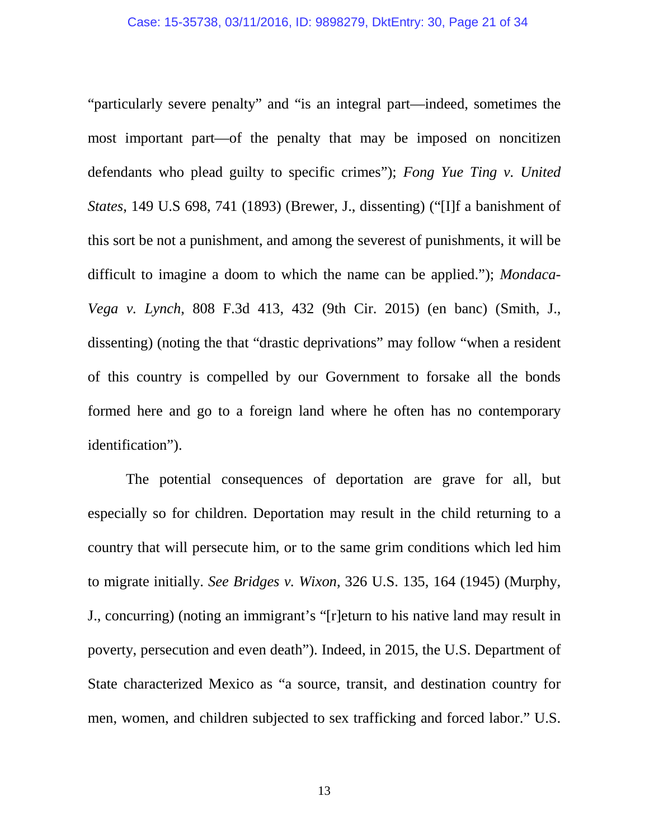"particularly severe penalty" and "is an integral part—indeed, sometimes the most important part—of the penalty that may be imposed on noncitizen defendants who plead guilty to specific crimes"); *Fong Yue Ting v. United States*, 149 U.S 698, 741 (1893) (Brewer, J., dissenting) ("[I]f a banishment of this sort be not a punishment, and among the severest of punishments, it will be difficult to imagine a doom to which the name can be applied."); *Mondaca-Vega v. Lynch*, 808 F.3d 413, 432 (9th Cir. 2015) (en banc) (Smith, J., dissenting) (noting the that "drastic deprivations" may follow "when a resident of this country is compelled by our Government to forsake all the bonds formed here and go to a foreign land where he often has no contemporary identification").

The potential consequences of deportation are grave for all, but especially so for children. Deportation may result in the child returning to a country that will persecute him, or to the same grim conditions which led him to migrate initially. *See Bridges v. Wixon*, 326 U.S. 135, 164 (1945) (Murphy, J., concurring) (noting an immigrant's "[r]eturn to his native land may result in poverty, persecution and even death"). Indeed, in 2015, the U.S. Department of State characterized Mexico as "a source, transit, and destination country for men, women, and children subjected to sex trafficking and forced labor." U.S.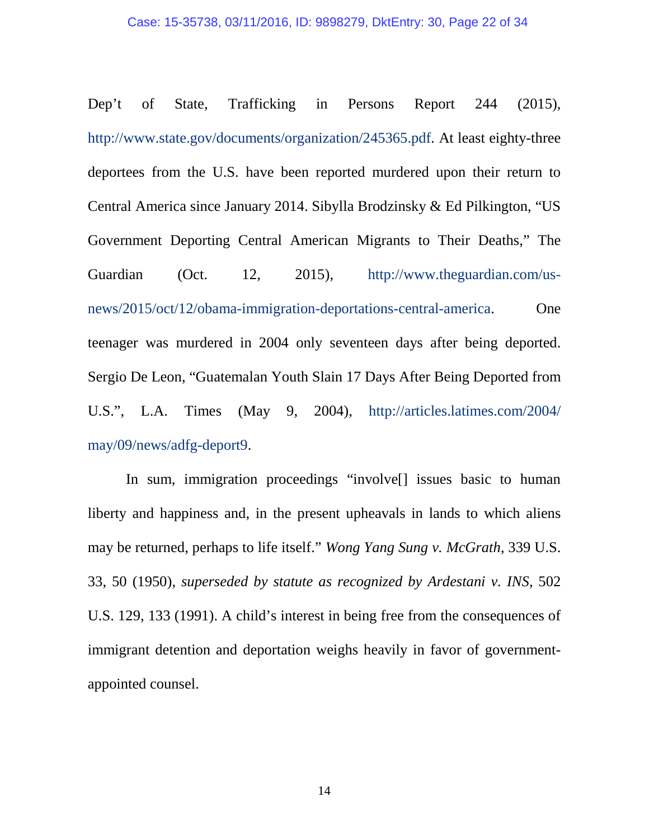#### Case: 15-35738, 03/11/2016, ID: 9898279, DktEntry: 30, Page 22 of 34

Dep't of State, Trafficking in Persons Report 244 (2015), [http://www.state.gov/documents/organization/245365.pdf.](http://www.state.gov/documents/organization/245365.pdf) At least eighty-three deportees from the U.S. have been reported murdered upon their return to Central America since January 2014. Sibylla Brodzinsky & Ed Pilkington, "US Government Deporting Central American Migrants to Their Deaths," The Guardian (Oct. 12, 2015), http://www.theguardian.com/usnews/2015/oct/12/obama-immigration-deportations-central-america. One teenager was murdered in 2004 only seventeen days after being deported. Sergio De Leon, "Guatemalan Youth Slain 17 Days After Being Deported from U.S.", L.A. Times (May 9, 2004), [http://articles.latimes.com/2004/](http://articles.latimes.com/2004/%20may/09/news/adfg-deport9)  [may/09/news/adfg-deport9.](http://articles.latimes.com/2004/%20may/09/news/adfg-deport9)

In sum, immigration proceedings "involve[] issues basic to human liberty and happiness and, in the present upheavals in lands to which aliens may be returned, perhaps to life itself." *Wong Yang Sung v. McGrath*, 339 U.S. 33, 50 (1950), *superseded by statute as recognized by Ardestani v. INS*, 502 U.S. 129, 133 (1991). A child's interest in being free from the consequences of immigrant detention and deportation weighs heavily in favor of governmentappointed counsel.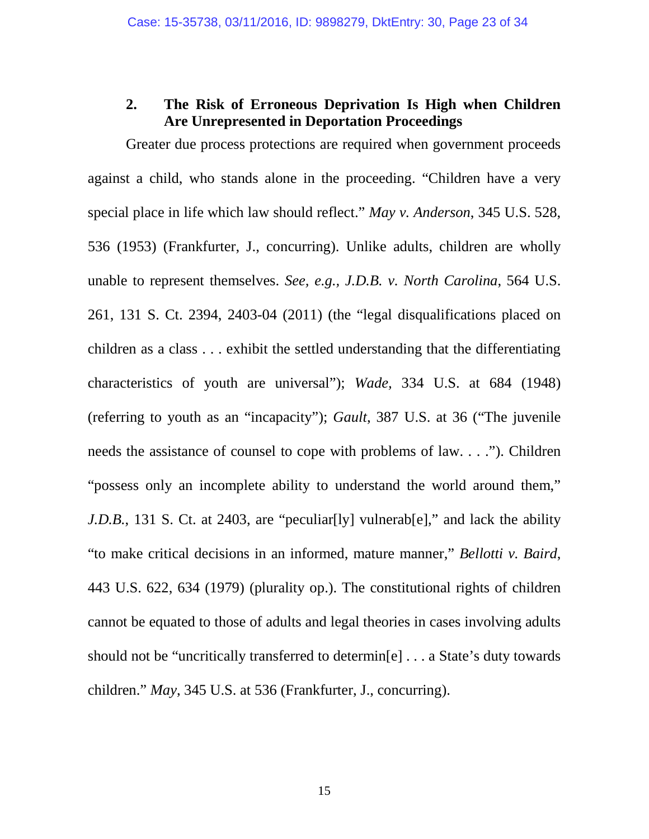### **2. The Risk of Erroneous Deprivation Is High when Children Are Unrepresented in Deportation Proceedings**

Greater due process protections are required when government proceeds against a child, who stands alone in the proceeding. "Children have a very special place in life which law should reflect." *May v. Anderson*, 345 U.S. 528, 536 (1953) (Frankfurter, J., concurring). Unlike adults, children are wholly unable to represent themselves. *See, e.g., J.D.B. v. North Carolina*, 564 U.S. 261, 131 S. Ct. 2394, 2403-04 (2011) (the "legal disqualifications placed on children as a class . . . exhibit the settled understanding that the differentiating characteristics of youth are universal"); *Wade,* 334 U.S. at 684 (1948) (referring to youth as an "incapacity"); *Gault*, 387 U.S. at 36 ("The juvenile needs the assistance of counsel to cope with problems of law. . . ."). Children "possess only an incomplete ability to understand the world around them," *J.D.B.*, 131 S. Ct. at 2403, are "peculiar [ly] vulnerable]," and lack the ability "to make critical decisions in an informed, mature manner," *Bellotti v. Baird*, 443 U.S. 622, 634 (1979) (plurality op.). The constitutional rights of children cannot be equated to those of adults and legal theories in cases involving adults should not be "uncritically transferred to determin[e] . . . a State's duty towards children." *May*, 345 U.S. at 536 (Frankfurter, J., concurring).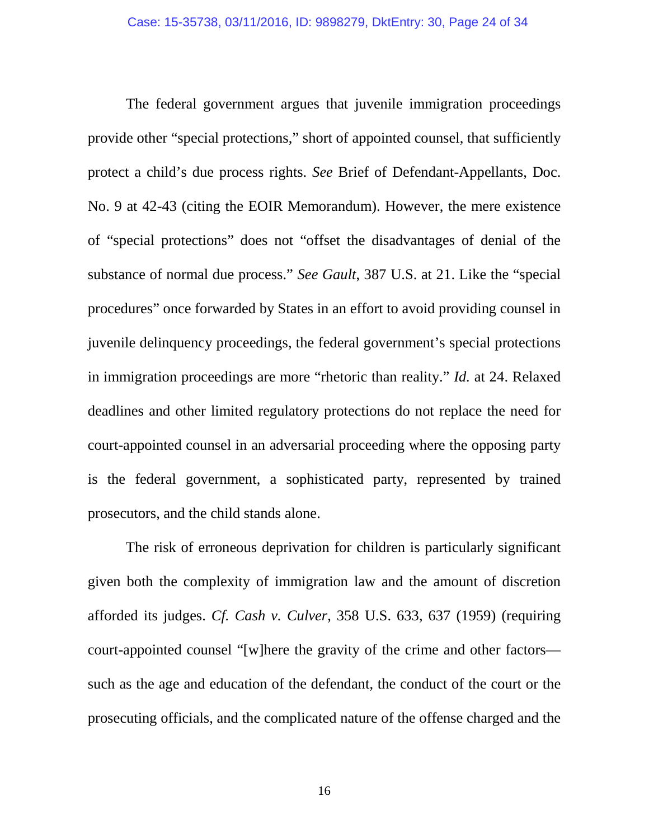The federal government argues that juvenile immigration proceedings provide other "special protections," short of appointed counsel, that sufficiently protect a child's due process rights. *See* Brief of Defendant-Appellants, Doc. No. 9 at 42-43 (citing the EOIR Memorandum). However, the mere existence of "special protections" does not "offset the disadvantages of denial of the substance of normal due process." *See Gault*, 387 U.S. at 21. Like the "special procedures" once forwarded by States in an effort to avoid providing counsel in juvenile delinquency proceedings, the federal government's special protections in immigration proceedings are more "rhetoric than reality." *Id.* at 24. Relaxed deadlines and other limited regulatory protections do not replace the need for court-appointed counsel in an adversarial proceeding where the opposing party is the federal government, a sophisticated party, represented by trained prosecutors, and the child stands alone.

The risk of erroneous deprivation for children is particularly significant given both the complexity of immigration law and the amount of discretion afforded its judges. *Cf. Cash v. Culver*, 358 U.S. 633, 637 (1959) (requiring court-appointed counsel "[w]here the gravity of the crime and other factors such as the age and education of the defendant, the conduct of the court or the prosecuting officials, and the complicated nature of the offense charged and the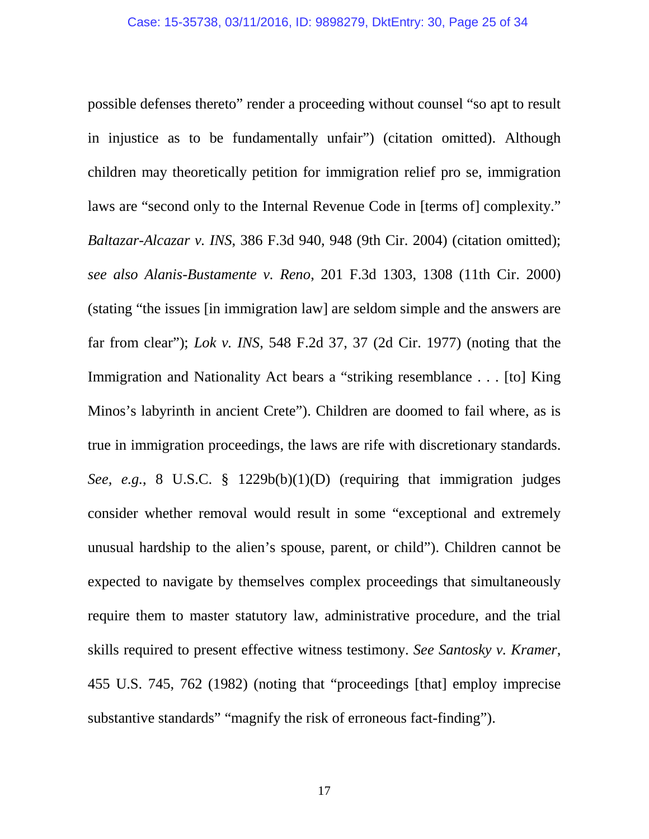possible defenses thereto" render a proceeding without counsel "so apt to result in injustice as to be fundamentally unfair") (citation omitted). Although children may theoretically petition for immigration relief pro se, immigration laws are "second only to the Internal Revenue Code in [terms of] complexity." *Baltazar-Alcazar v. INS*, 386 F.3d 940, 948 (9th Cir. 2004) (citation omitted); *see also Alanis-Bustamente v. Reno*, 201 F.3d 1303, 1308 (11th Cir. 2000) (stating "the issues [in immigration law] are seldom simple and the answers are far from clear"); *Lok v. INS*, 548 F.2d 37, 37 (2d Cir. 1977) (noting that the Immigration and Nationality Act bears a "striking resemblance . . . [to] King Minos's labyrinth in ancient Crete"). Children are doomed to fail where, as is true in immigration proceedings, the laws are rife with discretionary standards. *See, e.g.*, 8 U.S.C. § 1229b(b)(1)(D) (requiring that immigration judges consider whether removal would result in some "exceptional and extremely unusual hardship to the alien's spouse, parent, or child"). Children cannot be expected to navigate by themselves complex proceedings that simultaneously require them to master statutory law, administrative procedure, and the trial skills required to present effective witness testimony. *See Santosky v. Kramer*, 455 U.S. 745, 762 (1982) (noting that "proceedings [that] employ imprecise substantive standards" "magnify the risk of erroneous fact-finding").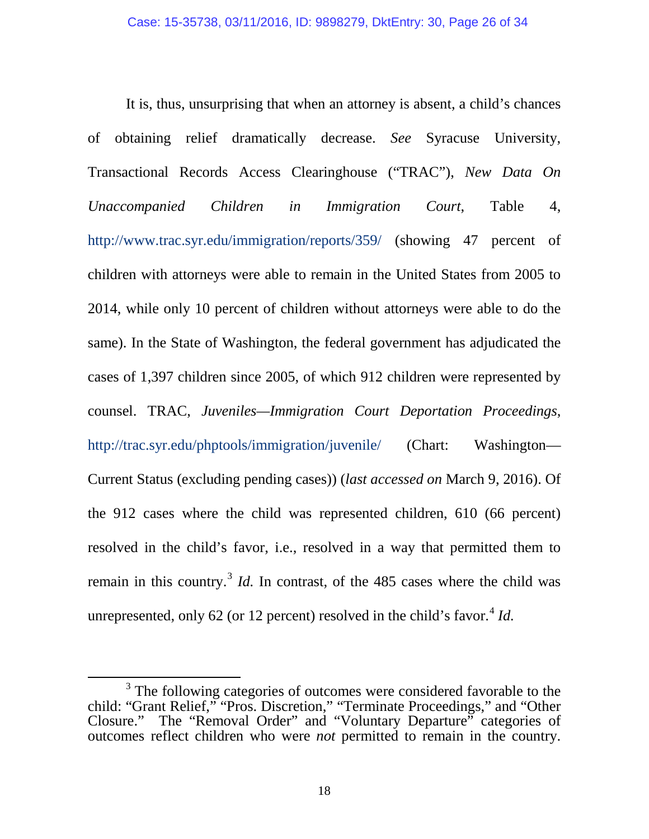It is, thus, unsurprising that when an attorney is absent, a child's chances of obtaining relief dramatically decrease. *See* Syracuse University, Transactional Records Access Clearinghouse ("TRAC"), *New Data On Unaccompanied Children in Immigration Court*, Table 4, <http://www.trac.syr.edu/immigration/reports/359/> (showing 47 percent of children with attorneys were able to remain in the United States from 2005 to 2014, while only 10 percent of children without attorneys were able to do the same). In the State of Washington, the federal government has adjudicated the cases of 1,397 children since 2005, of which 912 children were represented by counsel. TRAC, *Juveniles—Immigration Court Deportation Proceedings*, <http://trac.syr.edu/phptools/immigration/juvenile/> (Chart: Washington— Current Status (excluding pending cases)) (*last accessed on* March 9, 2016). Of the 912 cases where the child was represented children, 610 (66 percent) resolved in the child's favor, i.e., resolved in a way that permitted them to remain in this country.<sup>[3](#page-25-0)</sup> *Id.* In contrast, of the 485 cases where the child was unrepresented, only 62 (or 12 percent) resolved in the child's favor.<sup>[4](#page-25-1)</sup> *Id.* 

<span id="page-25-1"></span> $\ddot{\phantom{a}}$ 

<span id="page-25-0"></span><sup>&</sup>lt;sup>3</sup> The following categories of outcomes were considered favorable to the child: "Grant Relief," "Pros. Discretion," "Terminate Proceedings," and "Other Closure." The "Removal Order" and "Voluntary Departure" categories of outcomes reflect children who were *not* permitted to remain in the country.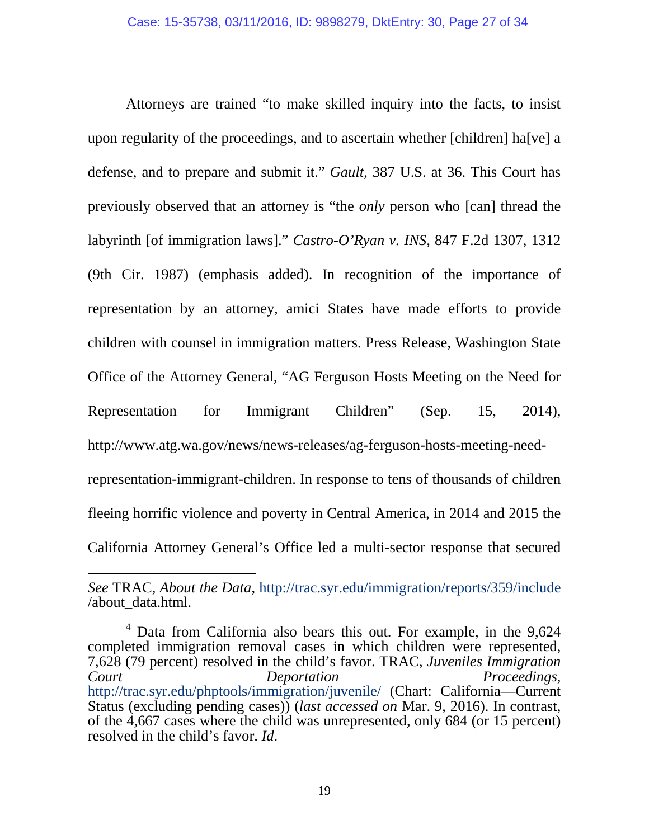Attorneys are trained "to make skilled inquiry into the facts, to insist upon regularity of the proceedings, and to ascertain whether [children] ha[ve] a defense, and to prepare and submit it." *Gault*, 387 U.S. at 36. This Court has previously observed that an attorney is "the *only* person who [can] thread the labyrinth [of immigration laws]." *Castro-O'Ryan v. INS*, 847 F.2d 1307, 1312 (9th Cir. 1987) (emphasis added). In recognition of the importance of representation by an attorney, amici States have made efforts to provide children with counsel in immigration matters. Press Release, Washington State Office of the Attorney General, "AG Ferguson Hosts Meeting on the Need for Representation for Immigrant Children" (Sep. 15, 2014), http://www.atg.wa.gov/news/news-releases/ag-ferguson-hosts-meeting-needrepresentation-immigrant-children. In response to tens of thousands of children fleeing horrific violence and poverty in Central America, in 2014 and 2015 the California Attorney General's Office led a multi-sector response that secured

-

*See* TRAC, *About the Data*,<http://trac.syr.edu/immigration/reports/359/include> /about\_data.html.

<sup>4</sup> Data from California also bears this out. For example, in the 9,624 completed immigration removal cases in which children were represented, 7,628 (79 percent) resolved in the child's favor. TRAC, *Juveniles Immigration Court Deportation Proceedings*, <http://trac.syr.edu/phptools/immigration/juvenile/> (Chart: California—Current Status (excluding pending cases)) (*last accessed on* Mar. 9, 2016). In contrast, of the 4,667 cases where the child was unrepresented, only 684 (or 15 percent) resolved in the child's favor. *Id*.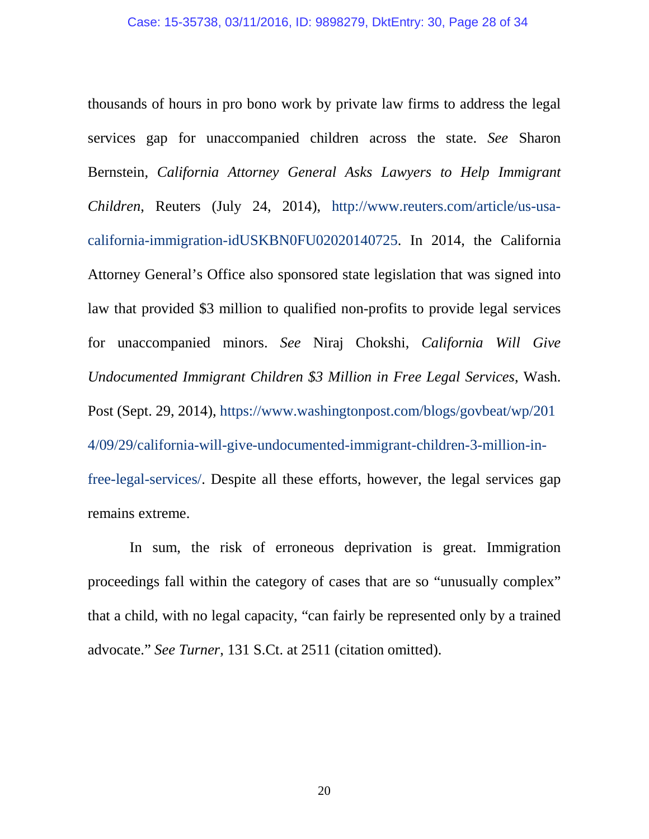thousands of hours in pro bono work by private law firms to address the legal services gap for unaccompanied children across the state. *See* Sharon Bernstein, *California Attorney General Asks Lawyers to Help Immigrant Children*, Reuters (July 24, 2014), [http://www.reuters.com/article/us-usa](http://www.reuters.com/article/us-usa-california-immigration-idUSKBN0FU02020140725)[california-immigration-idUSKBN0FU02020140725.](http://www.reuters.com/article/us-usa-california-immigration-idUSKBN0FU02020140725) In 2014, the California Attorney General's Office also sponsored state legislation that was signed into law that provided \$3 million to qualified non-profits to provide legal services for unaccompanied minors. *See* Niraj Chokshi, *California Will Give Undocumented Immigrant Children \$3 Million in Free Legal Services*, Wash. Post (Sept. 29, 2014), [https://www.washingtonpost.com/blogs/govbeat/wp/201](https://www.washingtonpost.com/blogs/govbeat/wp/2014/09/29/california-will-give-undocumented-immigrant-children-3-million-in-free-legal-services/) [4/09/29/california-will-give-undocumented-immigrant-children-3-million-in](https://www.washingtonpost.com/blogs/govbeat/wp/2014/09/29/california-will-give-undocumented-immigrant-children-3-million-in-free-legal-services/)[free-legal-services/.](https://www.washingtonpost.com/blogs/govbeat/wp/2014/09/29/california-will-give-undocumented-immigrant-children-3-million-in-free-legal-services/) Despite all these efforts, however, the legal services gap remains extreme.

In sum, the risk of erroneous deprivation is great. Immigration proceedings fall within the category of cases that are so "unusually complex" that a child, with no legal capacity, "can fairly be represented only by a trained advocate." *See Turner*, 131 S.Ct. at 2511 (citation omitted).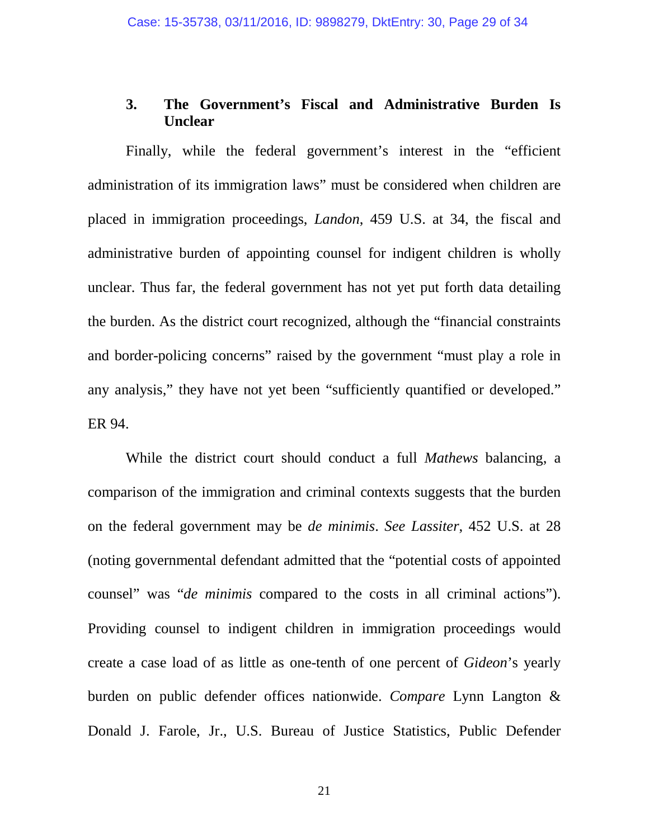### **3. The Government's Fiscal and Administrative Burden Is Unclear**

Finally, while the federal government's interest in the "efficient administration of its immigration laws" must be considered when children are placed in immigration proceedings, *Landon*, 459 U.S. at 34, the fiscal and administrative burden of appointing counsel for indigent children is wholly unclear. Thus far, the federal government has not yet put forth data detailing the burden. As the district court recognized, although the "financial constraints and border-policing concerns" raised by the government "must play a role in any analysis," they have not yet been "sufficiently quantified or developed." ER 94.

While the district court should conduct a full *Mathews* balancing, a comparison of the immigration and criminal contexts suggests that the burden on the federal government may be *de minimis*. *See Lassiter*, 452 U.S. at 28 (noting governmental defendant admitted that the "potential costs of appointed counsel" was "*de minimis* compared to the costs in all criminal actions"). Providing counsel to indigent children in immigration proceedings would create a case load of as little as one-tenth of one percent of *Gideon*'s yearly burden on public defender offices nationwide. *Compare* Lynn Langton & Donald J. Farole, Jr., U.S. Bureau of Justice Statistics, Public Defender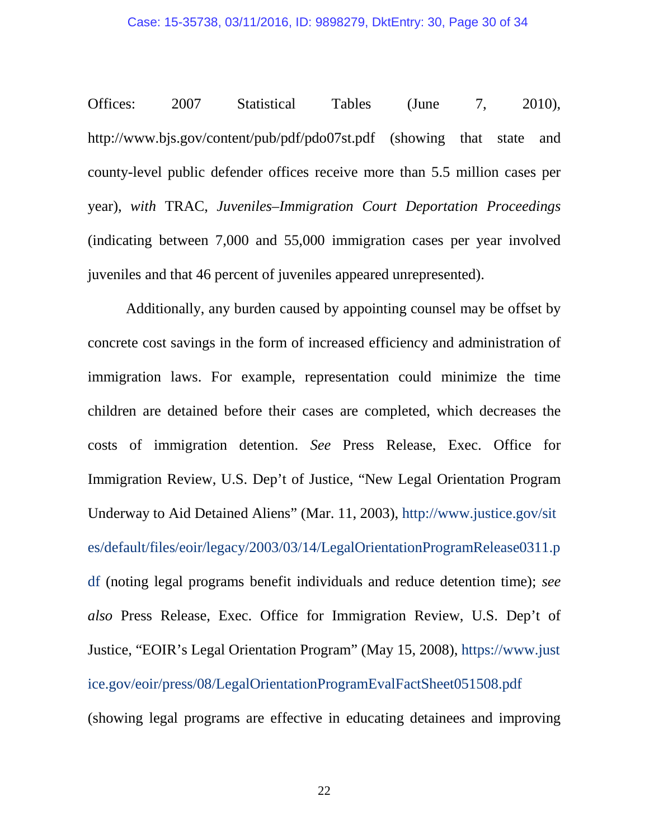#### Case: 15-35738, 03/11/2016, ID: 9898279, DktEntry: 30, Page 30 of 34

Offices: 2007 Statistical Tables (June 7, 2010), http://www.bjs.gov/content/pub/pdf/pdo07st.pdf (showing that state and county-level public defender offices receive more than 5.5 million cases per year), *with* TRAC, *Juveniles–Immigration Court Deportation Proceedings* (indicating between 7,000 and 55,000 immigration cases per year involved juveniles and that 46 percent of juveniles appeared unrepresented).

Additionally, any burden caused by appointing counsel may be offset by concrete cost savings in the form of increased efficiency and administration of immigration laws. For example, representation could minimize the time children are detained before their cases are completed, which decreases the costs of immigration detention. *See* Press Release, Exec. Office for Immigration Review, U.S. Dep't of Justice, "New Legal Orientation Program Underway to Aid Detained Aliens" (Mar. 11, 2003), [http://www.justice.gov/sit](http://www.justice.gov/sites/default/files/eoir/legacy/2003/03/14/LegalOrientationProgramRelease0311.pdf) [es/default/files/eoir/legacy/2003/03/14/LegalOrientationProgramRelease0311.p](http://www.justice.gov/sites/default/files/eoir/legacy/2003/03/14/LegalOrientationProgramRelease0311.pdf) [df](http://www.justice.gov/sites/default/files/eoir/legacy/2003/03/14/LegalOrientationProgramRelease0311.pdf) (noting legal programs benefit individuals and reduce detention time); *see also* Press Release, Exec. Office for Immigration Review, U.S. Dep't of Justice, "EOIR's Legal Orientation Program" (May 15, 2008), https://www.just ice.gov/eoir/press/08/LegalOrientationProgramEvalFactSheet051508.pdf (showing legal programs are effective in educating detainees and improving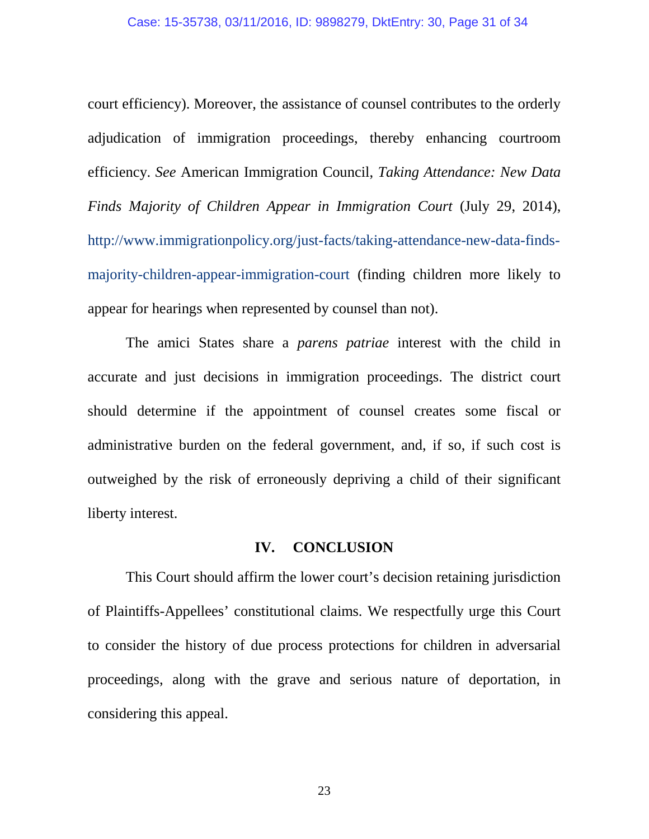court efficiency). Moreover, the assistance of counsel contributes to the orderly adjudication of immigration proceedings, thereby enhancing courtroom efficiency. *See* American Immigration Council, *Taking Attendance: New Data Finds Majority of Children Appear in Immigration Court* (July 29, 2014), http://www.immigrationpolicy.org/just-facts/taking-attendance-new-data-findsmajority-children-appear-immigration-court (finding children more likely to appear for hearings when represented by counsel than not).

The amici States share a *parens patriae* interest with the child in accurate and just decisions in immigration proceedings. The district court should determine if the appointment of counsel creates some fiscal or administrative burden on the federal government, and, if so, if such cost is outweighed by the risk of erroneously depriving a child of their significant liberty interest.

### **IV. CONCLUSION**

This Court should affirm the lower court's decision retaining jurisdiction of Plaintiffs-Appellees' constitutional claims. We respectfully urge this Court to consider the history of due process protections for children in adversarial proceedings, along with the grave and serious nature of deportation, in considering this appeal.

23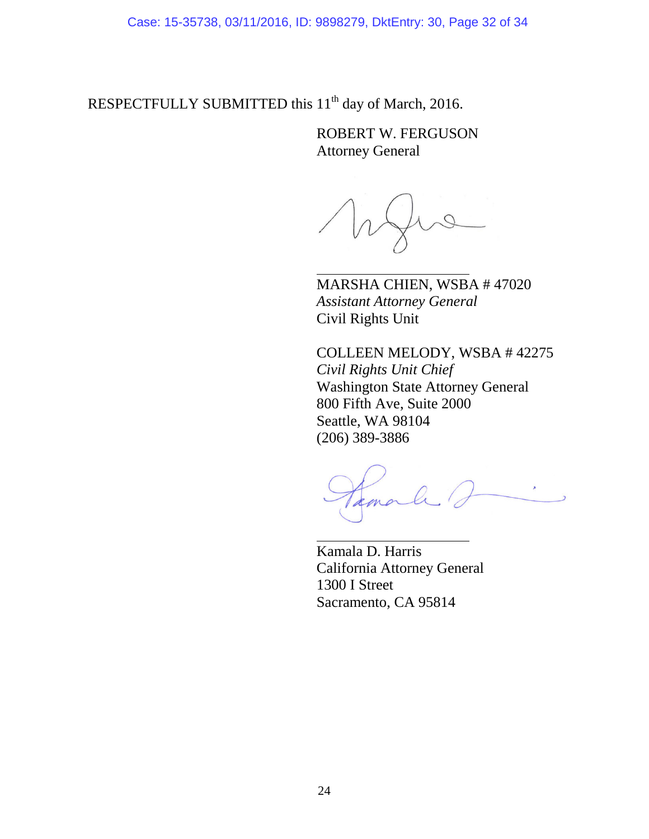Case: 15-35738, 03/11/2016, ID: 9898279, DktEntry: 30, Page 32 of 34

RESPECTFULLY SUBMITTED this 11<sup>th</sup> day of March, 2016.

ROBERT W. FERGUSON Attorney General

MARSHA CHIEN, WSBA # 47020 *Assistant Attorney General* Civil Rights Unit

COLLEEN MELODY, WSBA # 42275 *Civil Rights Unit Chief* Washington State Attorney General 800 Fifth Ave, Suite 2000 Seattle, WA 98104 (206) 389-3886

Kamala D. Harris California Attorney General 1300 I Street Sacramento, CA 95814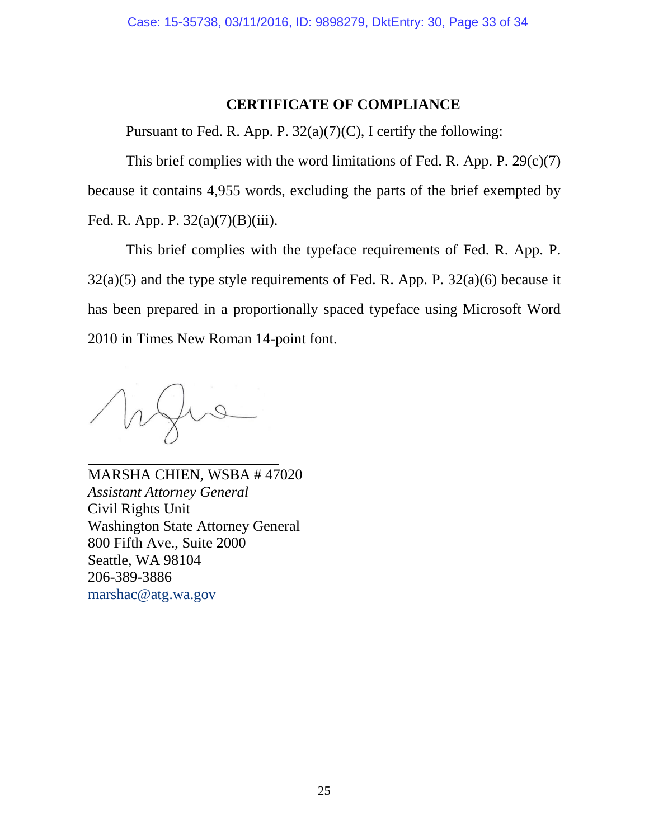### **CERTIFICATE OF COMPLIANCE**

Pursuant to Fed. R. App. P.  $32(a)(7)(C)$ , I certify the following:

This brief complies with the word limitations of Fed. R. App. P.  $29(c)(7)$ because it contains 4,955 words, excluding the parts of the brief exempted by Fed. R. App. P. 32(a)(7)(B)(iii).

This brief complies with the typeface requirements of Fed. R. App. P.  $32(a)(5)$  and the type style requirements of Fed. R. App. P.  $32(a)(6)$  because it has been prepared in a proportionally spaced typeface using Microsoft Word 2010 in Times New Roman 14-point font.

MARSHA CHIEN, WSBA # 47020 *Assistant Attorney General* Civil Rights Unit Washington State Attorney General 800 Fifth Ave., Suite 2000 Seattle, WA 98104 206-389-3886 [marshac@atg.wa.gov](mailto:marshac@atg.wa.gov)